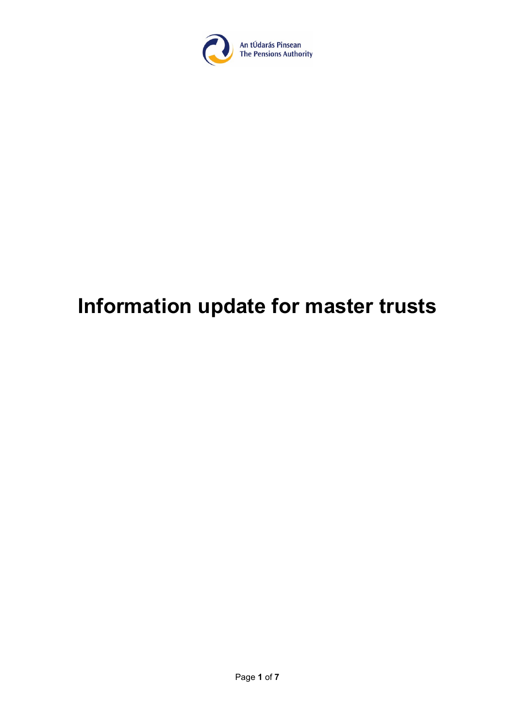

# **Information update for master trusts**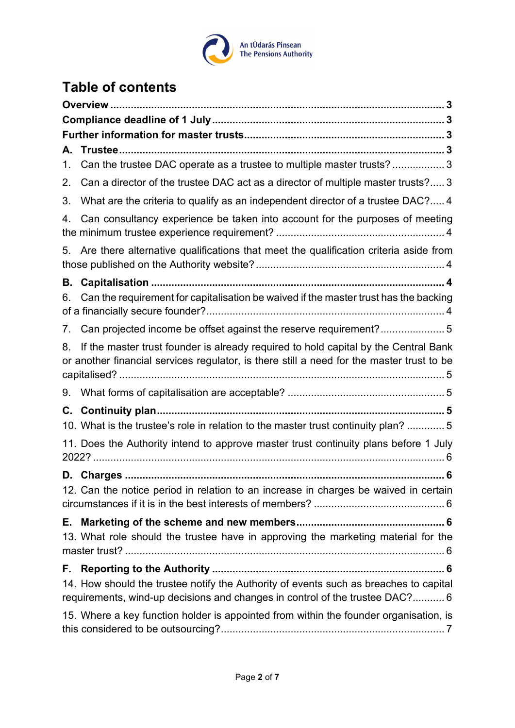

# **Table of contents**

| А.       |                                                                                                                                                                                  |
|----------|----------------------------------------------------------------------------------------------------------------------------------------------------------------------------------|
| 1.       | Can the trustee DAC operate as a trustee to multiple master trusts? 3                                                                                                            |
| 2.       | Can a director of the trustee DAC act as a director of multiple master trusts? 3                                                                                                 |
| 3.       | What are the criteria to qualify as an independent director of a trustee DAC? 4                                                                                                  |
| 4.       | Can consultancy experience be taken into account for the purposes of meeting                                                                                                     |
| 5.       | Are there alternative qualifications that meet the qualification criteria aside from                                                                                             |
| В.<br>6. | Can the requirement for capitalisation be waived if the master trust has the backing                                                                                             |
| 7.       | Can projected income be offset against the reserve requirement?5                                                                                                                 |
| 8.       | If the master trust founder is already required to hold capital by the Central Bank<br>or another financial services regulator, is there still a need for the master trust to be |
| 9.       |                                                                                                                                                                                  |
| С.       |                                                                                                                                                                                  |
|          | 10. What is the trustee's role in relation to the master trust continuity plan?  5                                                                                               |
|          | 11. Does the Authority intend to approve master trust continuity plans before 1 July                                                                                             |
|          |                                                                                                                                                                                  |
|          | 12. Can the notice period in relation to an increase in charges be waived in certain                                                                                             |
| Е.       | 13. What role should the trustee have in approving the marketing material for the                                                                                                |
| F.,      |                                                                                                                                                                                  |
|          | 14. How should the trustee notify the Authority of events such as breaches to capital<br>requirements, wind-up decisions and changes in control of the trustee DAC? 6            |
|          | 15. Where a key function holder is appointed from within the founder organisation, is                                                                                            |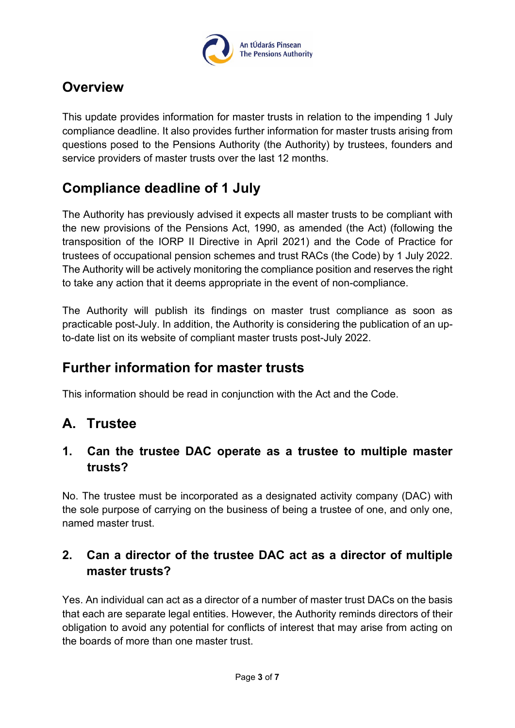

# <span id="page-2-0"></span>**Overview**

This update provides information for master trusts in relation to the impending 1 July compliance deadline. It also provides further information for master trusts arising from questions posed to the Pensions Authority (the Authority) by trustees, founders and service providers of master trusts over the last 12 months.

# <span id="page-2-1"></span>**Compliance deadline of 1 July**

The Authority has previously advised it expects all master trusts to be compliant with the new provisions of the Pensions Act, 1990, as amended (the Act) (following the transposition of the IORP II Directive in April 2021) and the Code of Practice for trustees of occupational pension schemes and trust RACs (the Code) by 1 July 2022. The Authority will be actively monitoring the compliance position and reserves the right to take any action that it deems appropriate in the event of non-compliance.

The Authority will publish its findings on master trust compliance as soon as practicable post-July. In addition, the Authority is considering the publication of an upto-date list on its website of compliant master trusts post-July 2022.

# <span id="page-2-2"></span>**Further information for master trusts**

This information should be read in conjunction with the Act and the Code.

# <span id="page-2-3"></span>**A. Trustee**

#### <span id="page-2-4"></span>**1. Can the trustee DAC operate as a trustee to multiple master trusts?**

No. The trustee must be incorporated as a designated activity company (DAC) with the sole purpose of carrying on the business of being a trustee of one, and only one, named master trust.

## <span id="page-2-5"></span>**2. Can a director of the trustee DAC act as a director of multiple master trusts?**

Yes. An individual can act as a director of a number of master trust DACs on the basis that each are separate legal entities. However, the Authority reminds directors of their obligation to avoid any potential for conflicts of interest that may arise from acting on the boards of more than one master trust.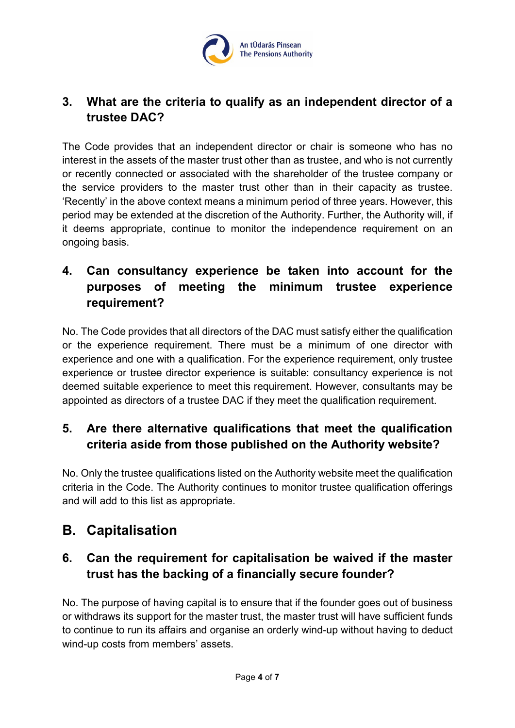

## <span id="page-3-0"></span>**3. What are the criteria to qualify as an independent director of a trustee DAC?**

The Code provides that an independent director or chair is someone who has no interest in the assets of the master trust other than as trustee, and who is not currently or recently connected or associated with the shareholder of the trustee company or the service providers to the master trust other than in their capacity as trustee. 'Recently' in the above context means a minimum period of three years. However, this period may be extended at the discretion of the Authority. Further, the Authority will, if it deems appropriate, continue to monitor the independence requirement on an ongoing basis.

## <span id="page-3-1"></span>**4. Can consultancy experience be taken into account for the purposes of meeting the minimum trustee experience requirement?**

No. The Code provides that all directors of the DAC must satisfy either the qualification or the experience requirement. There must be a minimum of one director with experience and one with a qualification. For the experience requirement, only trustee experience or trustee director experience is suitable: consultancy experience is not deemed suitable experience to meet this requirement. However, consultants may be appointed as directors of a trustee DAC if they meet the qualification requirement.

## <span id="page-3-2"></span>**5. Are there alternative qualifications that meet the qualification criteria aside from those published on the Authority website?**

No. Only the trustee qualifications listed on the Authority website meet the qualification criteria in the Code. The Authority continues to monitor trustee qualification offerings and will add to this list as appropriate.

# <span id="page-3-3"></span>**B. Capitalisation**

## <span id="page-3-4"></span>**6. Can the requirement for capitalisation be waived if the master trust has the backing of a financially secure founder?**

No. The purpose of having capital is to ensure that if the founder goes out of business or withdraws its support for the master trust, the master trust will have sufficient funds to continue to run its affairs and organise an orderly wind-up without having to deduct wind-up costs from members' assets.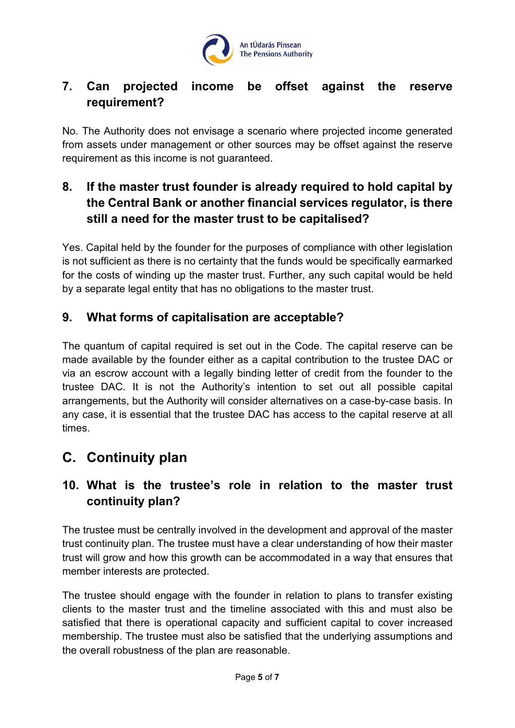

#### <span id="page-4-0"></span>**7. Can projected income be offset against the reserve requirement?**

No. The Authority does not envisage a scenario where projected income generated from assets under management or other sources may be offset against the reserve requirement as this income is not guaranteed.

## <span id="page-4-1"></span>**8. If the master trust founder is already required to hold capital by the Central Bank or another financial services regulator, is there still a need for the master trust to be capitalised?**

Yes. Capital held by the founder for the purposes of compliance with other legislation is not sufficient as there is no certainty that the funds would be specifically earmarked for the costs of winding up the master trust. Further, any such capital would be held by a separate legal entity that has no obligations to the master trust.

#### <span id="page-4-2"></span>**9. What forms of capitalisation are acceptable?**

The quantum of capital required is set out in the Code. The capital reserve can be made available by the founder either as a capital contribution to the trustee DAC or via an escrow account with a legally binding letter of credit from the founder to the trustee DAC. It is not the Authority's intention to set out all possible capital arrangements, but the Authority will consider alternatives on a case-by-case basis. In any case, it is essential that the trustee DAC has access to the capital reserve at all times.

# <span id="page-4-3"></span>**C. Continuity plan**

## <span id="page-4-4"></span>**10. What is the trustee's role in relation to the master trust continuity plan?**

The trustee must be centrally involved in the development and approval of the master trust continuity plan. The trustee must have a clear understanding of how their master trust will grow and how this growth can be accommodated in a way that ensures that member interests are protected.

The trustee should engage with the founder in relation to plans to transfer existing clients to the master trust and the timeline associated with this and must also be satisfied that there is operational capacity and sufficient capital to cover increased membership. The trustee must also be satisfied that the underlying assumptions and the overall robustness of the plan are reasonable.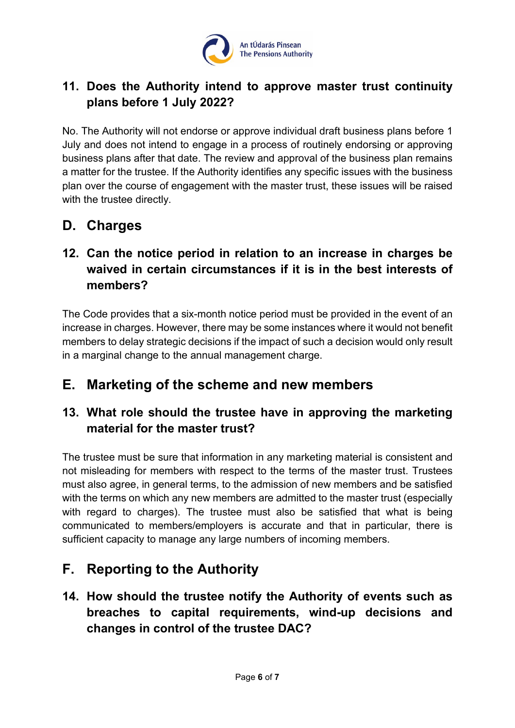

## <span id="page-5-0"></span>**11. Does the Authority intend to approve master trust continuity plans before 1 July 2022?**

No. The Authority will not endorse or approve individual draft business plans before 1 July and does not intend to engage in a process of routinely endorsing or approving business plans after that date. The review and approval of the business plan remains a matter for the trustee. If the Authority identifies any specific issues with the business plan over the course of engagement with the master trust, these issues will be raised with the trustee directly.

# <span id="page-5-1"></span>**D. Charges**

## <span id="page-5-2"></span>**12. Can the notice period in relation to an increase in charges be waived in certain circumstances if it is in the best interests of members?**

The Code provides that a six-month notice period must be provided in the event of an increase in charges. However, there may be some instances where it would not benefit members to delay strategic decisions if the impact of such a decision would only result in a marginal change to the annual management charge.

# <span id="page-5-3"></span>**E. Marketing of the scheme and new members**

## <span id="page-5-4"></span>**13. What role should the trustee have in approving the marketing material for the master trust?**

The trustee must be sure that information in any marketing material is consistent and not misleading for members with respect to the terms of the master trust. Trustees must also agree, in general terms, to the admission of new members and be satisfied with the terms on which any new members are admitted to the master trust (especially with regard to charges). The trustee must also be satisfied that what is being communicated to members/employers is accurate and that in particular, there is sufficient capacity to manage any large numbers of incoming members.

# <span id="page-5-5"></span>**F. Reporting to the Authority**

<span id="page-5-6"></span>**14. How should the trustee notify the Authority of events such as breaches to capital requirements, wind-up decisions and changes in control of the trustee DAC?**